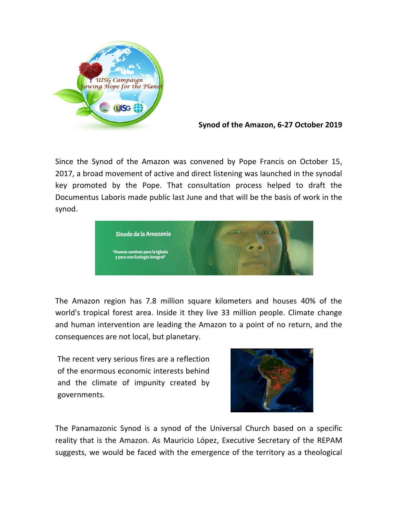

**Synod of the Amazon, 6-27 October 2019**

Since the Synod of the Amazon was convened by Pope Francis on October 15, 2017, a broad movement of active and direct listening was launched in the synodal key promoted by the Pope. That consultation process helped to draft the Documentus Laboris made public last June and that will be the basis of work in the synod.



The Amazon region has 7.8 million square kilometers and houses 40% of the world's tropical forest area. Inside it they live 33 million people. Climate change and human intervention are leading the Amazon to a point of no return, and the consequences are not local, but planetary.

The recent very serious fires are a reflection of the enormous economic interests behind and the climate of impunity created by governments.



The Panamazonic Synod is a synod of the Universal Church based on a specific reality that is the Amazon. As Mauricio López, Executive Secretary of the REPAM suggests, we would be faced with the emergence of the territory as a theological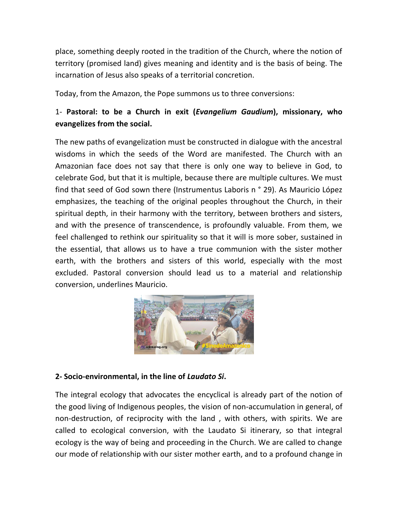place, something deeply rooted in the tradition of the Church, where the notion of territory (promised land) gives meaning and identity and is the basis of being. The incarnation of Jesus also speaks of a territorial concretion.

Today, from the Amazon, the Pope summons us to three conversions:

## 1- **Pastoral: to be a Church in exit (***Evangelium Gaudium***), missionary, who evangelizes from the social.**

The new paths of evangelization must be constructed in dialogue with the ancestral wisdoms in which the seeds of the Word are manifested. The Church with an Amazonian face does not say that there is only one way to believe in God, to celebrate God, but that it is multiple, because there are multiple cultures. We must find that seed of God sown there (Instrumentus Laboris n ° 29). As Mauricio López emphasizes, the teaching of the original peoples throughout the Church, in their spiritual depth, in their harmony with the territory, between brothers and sisters, and with the presence of transcendence, is profoundly valuable. From them, we feel challenged to rethink our spirituality so that it will is more sober, sustained in the essential, that allows us to have a true communion with the sister mother earth, with the brothers and sisters of this world, especially with the most excluded. Pastoral conversion should lead us to a material and relationship conversion, underlines Mauricio.



## **2- Socio-environmental, in the line of** *Laudato Si***.**

The integral ecology that advocates the encyclical is already part of the notion of the good living of Indigenous peoples, the vision of non-accumulation in general, of non-destruction, of reciprocity with the land , with others, with spirits. We are called to ecological conversion, with the Laudato Si itinerary, so that integral ecology is the way of being and proceeding in the Church. We are called to change our mode of relationship with our sister mother earth, and to a profound change in